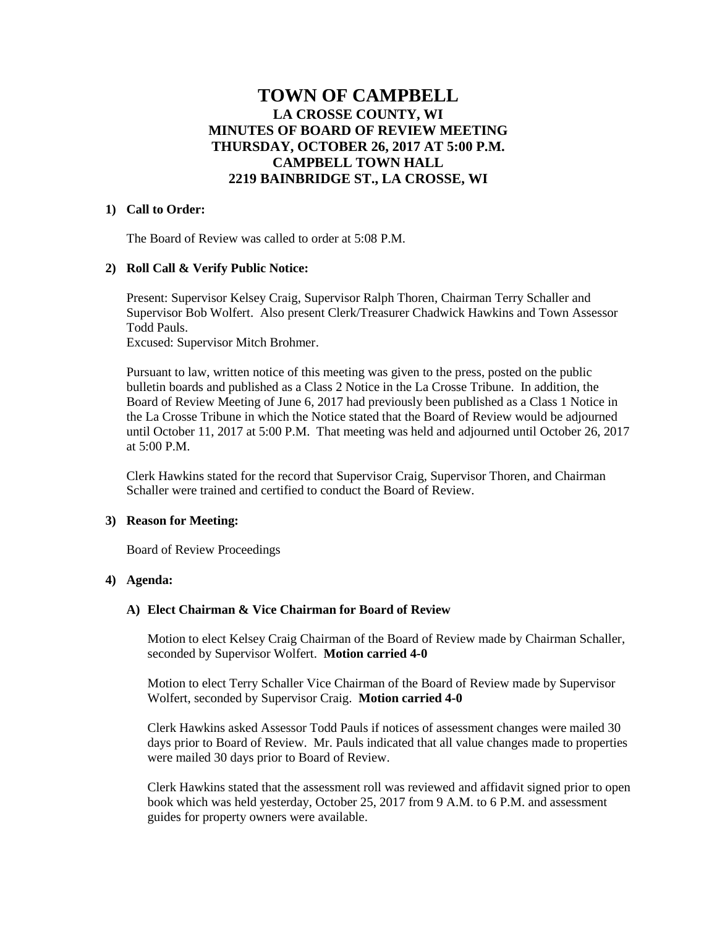# **TOWN OF CAMPBELL LA CROSSE COUNTY, WI MINUTES OF BOARD OF REVIEW MEETING THURSDAY, OCTOBER 26, 2017 AT 5:00 P.M. CAMPBELL TOWN HALL 2219 BAINBRIDGE ST., LA CROSSE, WI**

### **1) Call to Order:**

The Board of Review was called to order at 5:08 P.M.

### **2) Roll Call & Verify Public Notice:**

Present: Supervisor Kelsey Craig, Supervisor Ralph Thoren, Chairman Terry Schaller and Supervisor Bob Wolfert. Also present Clerk/Treasurer Chadwick Hawkins and Town Assessor Todd Pauls.

Excused: Supervisor Mitch Brohmer.

Pursuant to law, written notice of this meeting was given to the press, posted on the public bulletin boards and published as a Class 2 Notice in the La Crosse Tribune. In addition, the Board of Review Meeting of June 6, 2017 had previously been published as a Class 1 Notice in the La Crosse Tribune in which the Notice stated that the Board of Review would be adjourned until October 11, 2017 at 5:00 P.M. That meeting was held and adjourned until October 26, 2017 at 5:00 P.M.

Clerk Hawkins stated for the record that Supervisor Craig, Supervisor Thoren, and Chairman Schaller were trained and certified to conduct the Board of Review.

#### **3) Reason for Meeting:**

Board of Review Proceedings

# **4) Agenda:**

### **A) Elect Chairman & Vice Chairman for Board of Review**

Motion to elect Kelsey Craig Chairman of the Board of Review made by Chairman Schaller, seconded by Supervisor Wolfert. **Motion carried 4-0**

Motion to elect Terry Schaller Vice Chairman of the Board of Review made by Supervisor Wolfert, seconded by Supervisor Craig. **Motion carried 4-0**

Clerk Hawkins asked Assessor Todd Pauls if notices of assessment changes were mailed 30 days prior to Board of Review. Mr. Pauls indicated that all value changes made to properties were mailed 30 days prior to Board of Review.

Clerk Hawkins stated that the assessment roll was reviewed and affidavit signed prior to open book which was held yesterday, October 25, 2017 from 9 A.M. to 6 P.M. and assessment guides for property owners were available.